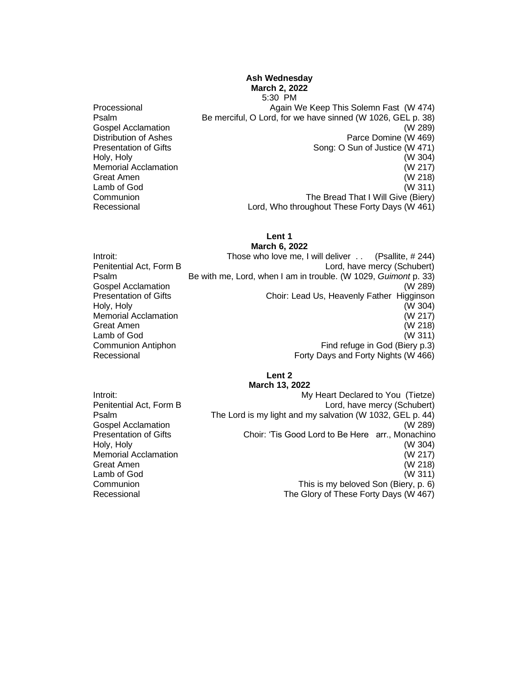# **Ash Wednesday March 2, 2022**

Holy, Holy

5:30 PM Processional **Again We Keep This Solemn Fast** (W 474) Psalm Be merciful, O Lord, for we have sinned (W 1026, GEL p. 38) Gospel Acclamation (W 289) Distribution of Ashes Parce Domine (W 469) Presentation of Gifts<br>
Holy, Holy (W 304)<br>
Holy, Holy Memorial Acclamation (W 217) Great Amen (W 218) Lamb of God (W 311) Communion The Bread That I Will Give (Biery) Recessional Lord, Who throughout These Forty Days (W 461)

#### **Lent 1 March 6, 2022**

Introit: Those who love me, I will deliver . . (Psallite, # 244) Penitential Act, Form B Lord, have mercy (Schubert) Psalm Be with me, Lord, when I am in trouble. (W 1029, *Guimont* p. 33) Gospel Acclamation (W 289) Presentation of Gifts **Choir:** Lead Us, Heavenly Father Higginson Holy, Holy (W 304) Memorial Acclamation (W 217) Great Amen (W 218) Lamb of God (W 311) Communion Antiphon **Find refuge in God (Biery p.3)**<br>Recessional Forty Davs and Forty Nights (W 466) Forty Days and Forty Nights (W 466)

#### **Lent 2 March 13, 2022**

Introit: Introit: Introit: Introit: Introit: Introit: Introit: Introit: Introit: Introit: Introit: Introit: Introit: Introit: Introit: Introit: Introit: Introit: Introit: Introit: Introit: Introit: Introit: Introit: Introi Penitential Act, Form B Lord, have mercy (Schubert) Psalm The Lord is my light and my salvation (W 1032, GEL p. 44) Gospel Acclamation (W 289) Presentation of Gifts Choir: 'Tis Good Lord to Be Here arr., Monachino Holy, Holy (W 304) Memorial Acclamation (W 217) Great Amen (W 218) Lamb of God (W 311) Communion This is my beloved Son (Biery, p. 6) Recessional The Glory of These Forty Days (W 467)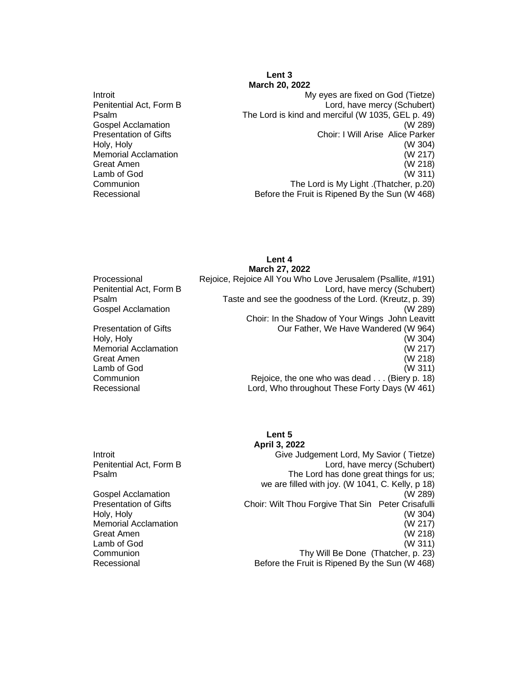#### **Lent 3 March 20, 2022**

Introit My eyes are fixed on God (Tietze) Penitential Act, Form B Lord, have mercy (Schubert) Psalm The Lord is kind and merciful (W 1035, GEL p. 49) Gospel Acclamation (W 289) Presentation of Gifts Choir: I Will Arise Alice Parker Holy, Holy (W 304) Memorial Acclamation (W 217) Great Amen (W 218) Lamb of God (W 311) Communion The Lord is My Light .(Thatcher, p.20) Before the Fruit is Ripened By the Sun (W 468)

**March 27, 2022** Processional Rejoice, Rejoice All You Who Love Jerusalem (Psallite, #191) Penitential Act, Form B Lord, have mercy (Schubert) Psalm Taste and see the goodness of the Lord. (Kreutz, p. 39) Gospel Acclamation (W 289) Choir: In the Shadow of Your Wings John Leavitt Presentation of Gifts Our Father, We Have Wandered (W 964) Holy, Holy (W 304) Memorial Acclamation (W 217) Great Amen (W 218) Lamb of God (W 311) Communion **Communion** Rejoice, the one who was dead . . . (Biery p. 18) Recessional Lord, Who throughout These Forty Days (W 461)

#### **Lent 5 April 3, 2022**

**Lent 4**

Introit Give Judgement Lord, My Savior ( Tietze) Penitential Act, Form B Lord, have mercy (Schubert)<br>
Psalm Core Lord has done great things for us: The Lord has done great things for us; we are filled with joy. (W 1041, C. Kelly, p 18) Gospel Acclamation (W 289) Presentation of Gifts **Choir: Wilt Thou Forgive That Sin Peter Crisafulli** Holy, Holy (W 304) Memorial Acclamation (W 217) Great Amen (W 218) Lamb of God (W 311)<br>Communion (W 311) Communion (W 311) Thy Will Be Done (Thatcher, p. 23) Recessional **Before the Fruit is Ripened By the Sun (W 468)** Before the Fruit is Ripened By the Sun (W 468)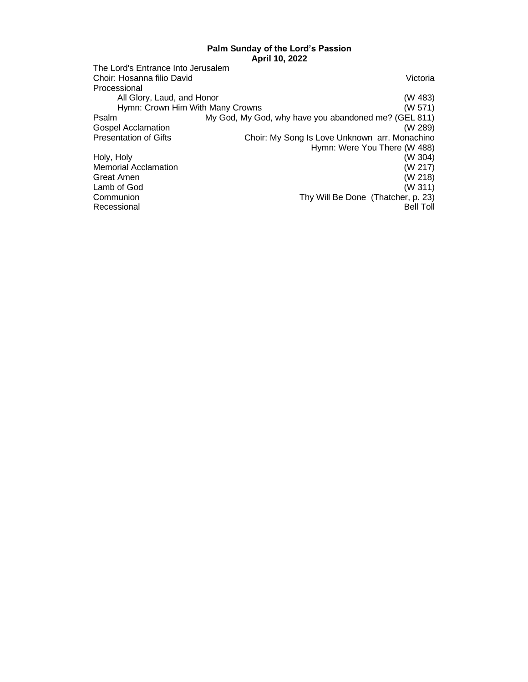### **Palm Sunday of the Lord's Passion April 10, 2022**

|                                    | ADIII IV. ZUZZ                                       |
|------------------------------------|------------------------------------------------------|
| The Lord's Entrance Into Jerusalem |                                                      |
| Choir: Hosanna filio David         | Victoria                                             |
| Processional                       |                                                      |
| All Glory, Laud, and Honor         | (W 483)                                              |
| Hymn: Crown Him With Many Crowns   | (W 571)                                              |
| Psalm                              | My God, My God, why have you abandoned me? (GEL 811) |
| <b>Gospel Acclamation</b>          | (W 289)                                              |
| <b>Presentation of Gifts</b>       | Choir: My Song Is Love Unknown arr. Monachino        |
|                                    | Hymn: Were You There (W 488)                         |
| Holy, Holy                         | (W 304)                                              |
| <b>Memorial Acclamation</b>        | (W 217)                                              |
| Great Amen                         | (W 218)                                              |
| Lamb of God                        | (W 311)                                              |
| Communion                          | Thy Will Be Done (Thatcher, p. 23)                   |
| Recessional                        | <b>Bell Toll</b>                                     |
|                                    |                                                      |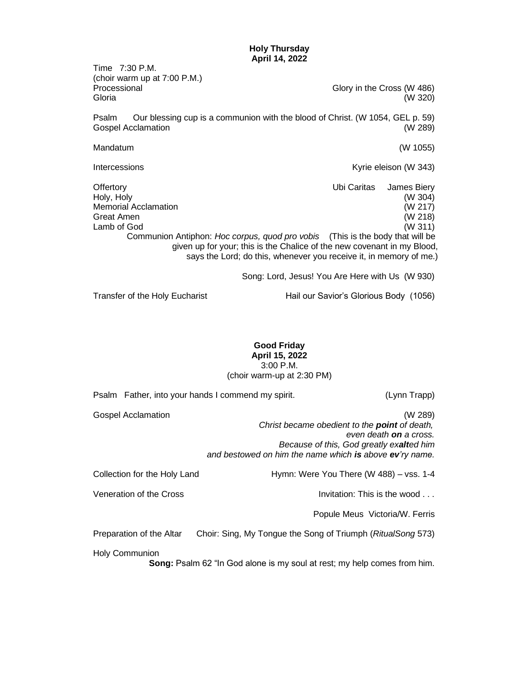**Holy Thursday April 14, 2022**

Time 7:30 P.M. (choir warm up at 7:00 P.M.) Processional Glory in the Cross (W 486) Gloria (W 320) Psalm Our blessing cup is a communion with the blood of Christ. (W 1054, GEL p. 59) Gospel Acclamation (W 289) Mandatum (W 1055) Intercessions **Intercessions Kyrie eleison (W 343)** Offertory Ubi Caritas James Biery Holy, Holy (W 304) Memorial Acclamation (W 217) Great Amen (W 218) Lamb of God (W 311) Communion Antiphon: *Hoc corpus, quod pro vobis* (This is the body that will be given up for your; this is the Chalice of the new covenant in my Blood, says the Lord; do this, whenever you receive it, in memory of me.) Song: Lord, Jesus! You Are Here with Us (W 930) Transfer of the Holy Eucharist **Hail our Savior's Glorious Body** (1056)

**Good Friday April 15, 2022**

3:00 P.M. (choir warm-up at 2:30 PM)

Psalm Father, into your hands I commend my spirit. (Lynn Trapp) Gospel Acclamation (W 289)  *Christ became obedient to the point of death, even death on a cross. Because of this, God greatly exalted him and bestowed on him the name which is above ev'ry name.* Collection for the Holy Land Hymn: Were You There (W 488) – vss. 1-4 Veneration of the Cross **Invitation:** This is the wood . . . Popule Meus Victoria/W. Ferris Preparation of the Altar Choir: Sing, My Tongue the Song of Triumph (*RitualSong* 573) Holy Communion **Song:** Psalm 62 "In God alone is my soul at rest; my help comes from him.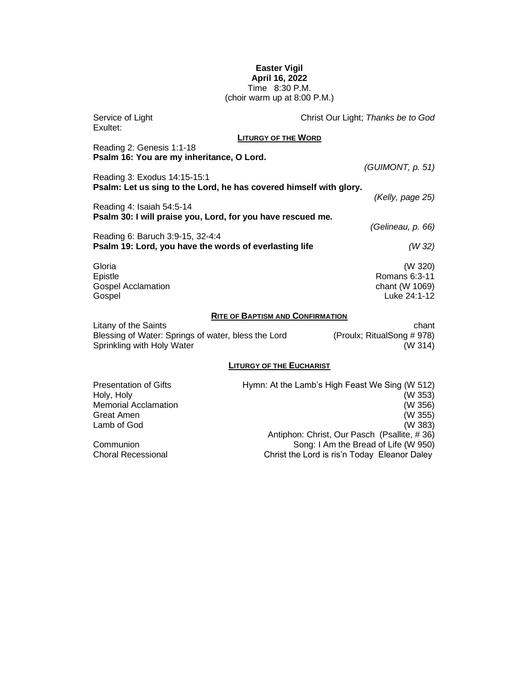### **Easter Vigil April 16, 2022** Time 8:30 P.M. (choir warm up at 8:00 P.M.)

| Service of Light<br>Exultet:                                                                              |                                 | Christ Our Light; Thanks be to God                                                                                                                  |  |  |
|-----------------------------------------------------------------------------------------------------------|---------------------------------|-----------------------------------------------------------------------------------------------------------------------------------------------------|--|--|
|                                                                                                           | <b>LITURGY OF THE WORD</b>      |                                                                                                                                                     |  |  |
| Reading 2: Genesis 1:1-18<br>Psalm 16: You are my inheritance, O Lord.                                    |                                 |                                                                                                                                                     |  |  |
| Reading 3: Exodus 14:15-15:1                                                                              |                                 | (GUIMONT, p. 51)                                                                                                                                    |  |  |
| Psalm: Let us sing to the Lord, he has covered himself with glory.                                        |                                 | (Kelly, page 25)                                                                                                                                    |  |  |
| Reading 4: Isaiah 54:5-14                                                                                 |                                 |                                                                                                                                                     |  |  |
| Psalm 30: I will praise you, Lord, for you have rescued me.                                               |                                 | (Gelineau, p. 66)                                                                                                                                   |  |  |
| Reading 6: Baruch 3:9-15, 32-4:4                                                                          |                                 |                                                                                                                                                     |  |  |
| Psalm 19: Lord, you have the words of everlasting life                                                    |                                 | (W 32)                                                                                                                                              |  |  |
| Gloria<br>Epistle<br><b>Gospel Acclamation</b><br>Gospel                                                  |                                 | (W 320)<br>Romans 6:3-11<br>chant (W 1069)<br>Luke 24:1-12                                                                                          |  |  |
| <b>RITE OF BAPTISM AND CONFIRMATION</b>                                                                   |                                 |                                                                                                                                                     |  |  |
| Litany of the Saints<br>Blessing of Water: Springs of water, bless the Lord<br>Sprinkling with Holy Water |                                 | chant<br>(Proulx; RitualSong # 978)<br>(W 314)                                                                                                      |  |  |
|                                                                                                           | <b>LITURGY OF THE EUCHARIST</b> |                                                                                                                                                     |  |  |
| <b>Presentation of Gifts</b><br>Holy, Holy<br><b>Memorial Acclamation</b><br>Great Amen<br>Lamb of God    |                                 | Hymn: At the Lamb's High Feast We Sing (W 512)<br>(W 353)<br>(W 356)<br>(W 355)<br>(W 383)<br>Application Obviot Organization (Deality<br>$\mu$ 00) |  |  |

Antiphon: Christ, Our Pasch (Psallite, # 36) Communion Song: I Am the Bread of Life (W 950) Choral Recessional Christ the Lord is ris'n Today Eleanor Daley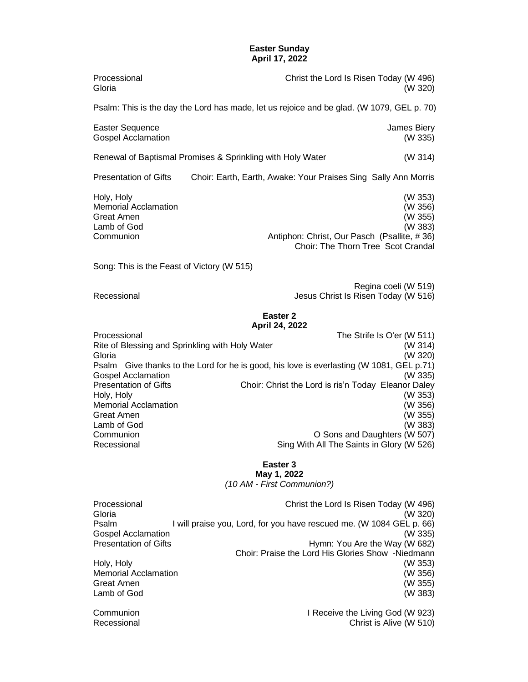### **Easter Sunday April 17, 2022**

| Processional<br>Gloria                                                                                                                                                                                                                       | Christ the Lord Is Risen Today (W 496)<br>(W 320)                                                                                                                                                                                                                                                                                                                                                                                         |
|----------------------------------------------------------------------------------------------------------------------------------------------------------------------------------------------------------------------------------------------|-------------------------------------------------------------------------------------------------------------------------------------------------------------------------------------------------------------------------------------------------------------------------------------------------------------------------------------------------------------------------------------------------------------------------------------------|
|                                                                                                                                                                                                                                              | Psalm: This is the day the Lord has made, let us rejoice and be glad. (W 1079, GEL p. 70)                                                                                                                                                                                                                                                                                                                                                 |
| <b>Easter Sequence</b><br><b>Gospel Acclamation</b>                                                                                                                                                                                          | James Biery<br>(W 335)                                                                                                                                                                                                                                                                                                                                                                                                                    |
|                                                                                                                                                                                                                                              | (W 314)<br>Renewal of Baptismal Promises & Sprinkling with Holy Water                                                                                                                                                                                                                                                                                                                                                                     |
| <b>Presentation of Gifts</b>                                                                                                                                                                                                                 | Choir: Earth, Earth, Awake: Your Praises Sing Sally Ann Morris                                                                                                                                                                                                                                                                                                                                                                            |
| Holy, Holy<br><b>Memorial Acclamation</b><br>Great Amen<br>Lamb of God<br>Communion                                                                                                                                                          | (W 353)<br>(W 356)<br>(W 355)<br>(W 383)<br>Antiphon: Christ, Our Pasch (Psallite, #36)<br>Choir: The Thorn Tree Scot Crandal                                                                                                                                                                                                                                                                                                             |
| Song: This is the Feast of Victory (W 515)                                                                                                                                                                                                   |                                                                                                                                                                                                                                                                                                                                                                                                                                           |
| Recessional                                                                                                                                                                                                                                  | Regina coeli (W 519)<br>Jesus Christ Is Risen Today (W 516)                                                                                                                                                                                                                                                                                                                                                                               |
| Processional<br>Rite of Blessing and Sprinkling with Holy Water<br>Gloria<br><b>Gospel Acclamation</b><br><b>Presentation of Gifts</b><br>Holy, Holy<br><b>Memorial Acclamation</b><br>Great Amen<br>Lamb of God<br>Communion<br>Recessional | Easter <sub>2</sub><br>April 24, 2022<br>The Strife Is O'er (W 511)<br>(W 314)<br>(W 320)<br>Psalm Give thanks to the Lord for he is good, his love is everlasting (W 1081, GEL p.71)<br>(W 335)<br>Choir: Christ the Lord is ris'n Today Eleanor Daley<br>(W 353)<br>(W 356)<br>(W 355)<br>(W 383)<br>O Sons and Daughters (W 507)<br>Sing With All The Saints in Glory (W 526)<br>Easter 3<br>May 1, 2022<br>(10 AM - First Communion?) |
| Processional<br>Gloria<br>Psalm<br><b>Gospel Acclamation</b><br><b>Presentation of Gifts</b><br>Holy, Holy<br><b>Memorial Acclamation</b><br>Great Amen<br>Lamb of God                                                                       | Christ the Lord Is Risen Today (W 496)<br>(W 320)<br>I will praise you, Lord, for you have rescued me. (W 1084 GEL p. 66)<br>(W 335)<br>Hymn: You Are the Way (W 682)<br>Choir: Praise the Lord His Glories Show -Niedmann<br>(W 353)<br>(W 356)<br>(W 355)<br>(W 383)                                                                                                                                                                    |

Communion I Receive the Living God (W 923) Recessional Christ is Alive (W 510)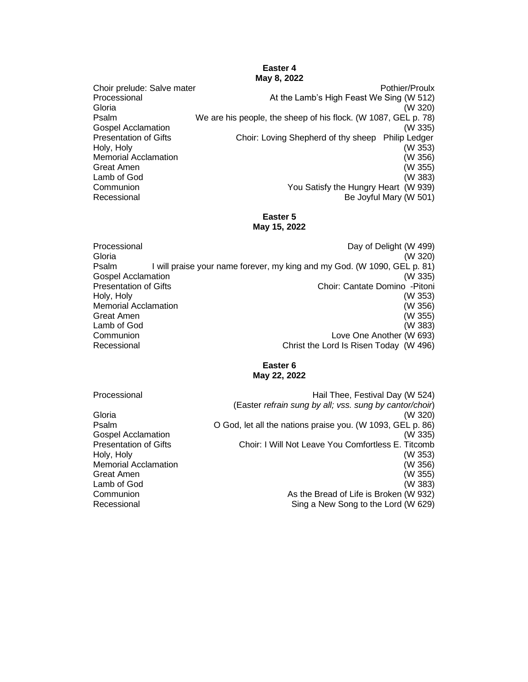## **Easter 4 May 8, 2022**

Choir prelude: Salve mater **Pothier/Proulx** Pothier/Proulx Processional At the Lamb's High Feast We Sing (W 512) Gloria (W 320) Psalm We are his people, the sheep of his flock. (W 1087, GEL p. 78) Gospel Acclamation (W 335) Presentation of Gifts **Choir:** Loving Shepherd of thy sheep Philip Ledger Holy, Holy (W 353) Memorial Acclamation (W 356) Great Amen (W 355) Lamb of God (W 383) Communion You Satisfy the Hungry Heart (W 939) Be Joyful Mary (W 501)

### **Easter 5 May 15, 2022**

Processional Day of Delight (W 499) Gloria (W 320) Psalm I will praise your name forever, my king and my God. (W 1090, GEL p. 81) Gospel Acclamation (W 335) Presentation of Gifts **Choir: Cantate Domino -Pitoni** Holy, Holy (W 353) Memorial Acclamation (W 356) Great Amen (W 355) Lamb of God (W 383) Communion Love One Another (W 693) Recessional Christ the Lord Is Risen Today (W 496)

# **Easter 6 May 22, 2022**

| Processional                 | Hail Thee, Festival Day (W 524)                            |
|------------------------------|------------------------------------------------------------|
|                              | (Easter refrain sung by all; vss. sung by cantor/choir)    |
| Gloria                       | (W 320)                                                    |
| Psalm                        | O God, let all the nations praise you. (W 1093, GEL p. 86) |
| <b>Gospel Acclamation</b>    | (W 335)                                                    |
| <b>Presentation of Gifts</b> | Choir: I Will Not Leave You Comfortless E. Titcomb         |
| Holy, Holy                   | (W 353)                                                    |
| <b>Memorial Acclamation</b>  | (W 356)                                                    |
| Great Amen                   | (W 355)                                                    |
| Lamb of God                  | (W 383)                                                    |
| Communion                    | As the Bread of Life is Broken (W 932)                     |
| Recessional                  | Sing a New Song to the Lord (W 629)                        |